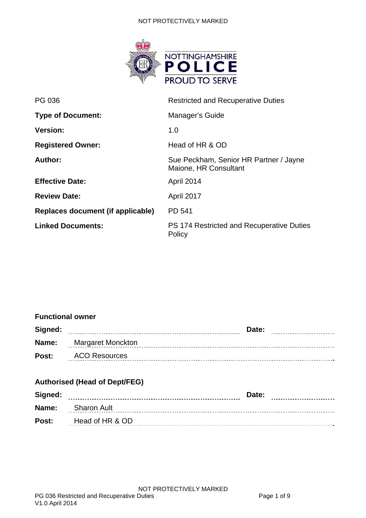#### NOT PROTECTIVELY MARKED



| PG 036                            | <b>Restricted and Recuperative Duties</b>                       |  |  |
|-----------------------------------|-----------------------------------------------------------------|--|--|
| <b>Type of Document:</b>          | Manager's Guide                                                 |  |  |
| <b>Version:</b>                   | 1.0                                                             |  |  |
| <b>Registered Owner:</b>          | Head of HR & OD                                                 |  |  |
| Author:                           | Sue Peckham, Senior HR Partner / Jayne<br>Maione, HR Consultant |  |  |
| <b>Effective Date:</b>            | April 2014                                                      |  |  |
| <b>Review Date:</b>               | April 2017                                                      |  |  |
| Replaces document (if applicable) | <b>PD 541</b>                                                   |  |  |
| <b>Linked Documents:</b>          | PS 174 Restricted and Recuperative Duties<br>Policy             |  |  |

#### **Functional owner**

| Signed: | Date:                |
|---------|----------------------|
| Name:   | Margaret Monckton    |
| Post:   | <b>ACO Resources</b> |

# **Authorised (Head of Dept/FEG)**

| Signed: | Date:                    |
|---------|--------------------------|
|         | <b>Name:</b> Sharon Ault |
| Post:   | Head of HR & OD          |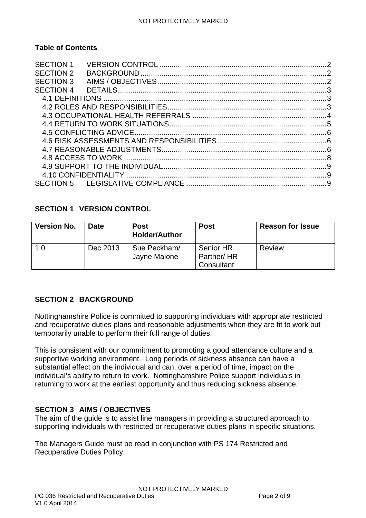## **Table of Contents**

| <b>SECTION 1</b> |  |
|------------------|--|
| <b>SECTION 2</b> |  |
| <b>SECTION 3</b> |  |
| SECTION 4        |  |
|                  |  |
|                  |  |
|                  |  |
|                  |  |
|                  |  |
|                  |  |
|                  |  |
|                  |  |
|                  |  |
|                  |  |
|                  |  |
|                  |  |

# <span id="page-1-0"></span>**SECTION 1 VERSION CONTROL**

| <b>Version No.</b> | <b>Date</b> | <b>Post</b><br><b>Holder/Author</b> | <b>Post</b>                           | <b>Reason for Issue</b> |
|--------------------|-------------|-------------------------------------|---------------------------------------|-------------------------|
| 1.0                | Dec 2013    | Sue Peckham/<br>Jayne Maione        | Senior HR<br>Partner/HR<br>Consultant | Review                  |

## <span id="page-1-1"></span>**SECTION 2 BACKGROUND**

Nottinghamshire Police is committed to supporting individuals with appropriate restricted and recuperative duties plans and reasonable adjustments when they are fit to work but temporarily unable to perform their full range of duties.

This is consistent with our commitment to promoting a good attendance culture and a supportive working environment. Long periods of sickness absence can have a substantial effect on the individual and can, over a period of time, impact on the individual's ability to return to work. Nottinghamshire Police support individuals in returning to work at the earliest opportunity and thus reducing sickness absence.

## <span id="page-1-2"></span>**SECTION 3 AIMS / OBJECTIVES**

The aim of the guide is to assist line managers in providing a structured approach to supporting individuals with restricted or recuperative duties plans in specific situations.

The Managers Guide must be read in conjunction with PS 174 Restricted and Recuperative Duties Policy.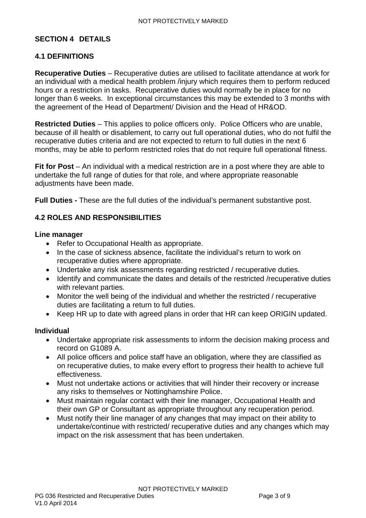#### <span id="page-2-0"></span>**SECTION 4 DETAILS**

#### <span id="page-2-1"></span>**4.1 DEFINITIONS**

**Recuperative Duties** – Recuperative duties are utilised to facilitate attendance at work for an individual with a medical health problem /injury which requires them to perform reduced hours or a restriction in tasks. Recuperative duties would normally be in place for no longer than 6 weeks. In exceptional circumstances this may be extended to 3 months with the agreement of the Head of Department/ Division and the Head of HR&OD.

**Restricted Duties** – This applies to police officers only. Police Officers who are unable, because of ill health or disablement, to carry out full operational duties, who do not fulfil the recuperative duties criteria and are not expected to return to full duties in the next 6 months, may be able to perform restricted roles that do not require full operational fitness.

**Fit for Post** – An individual with a medical restriction are in a post where they are able to undertake the full range of duties for that role, and where appropriate reasonable adjustments have been made.

**Full Duties -** These are the full duties of the individual's permanent substantive post.

#### <span id="page-2-2"></span>**4.2 ROLES AND RESPONSIBILITIES**

#### **Line manager**

- Refer to Occupational Health as appropriate.
- In the case of sickness absence, facilitate the individual's return to work on recuperative duties where appropriate.
- Undertake any risk assessments regarding restricted / recuperative duties.
- Identify and communicate the dates and details of the restricted /recuperative duties with relevant parties.
- Monitor the well being of the individual and whether the restricted / recuperative duties are facilitating a return to full duties.
- Keep HR up to date with agreed plans in order that HR can keep ORIGIN updated.

#### **Individual**

- Undertake appropriate risk assessments to inform the decision making process and record on G1089 A.
- All police officers and police staff have an obligation, where they are classified as on recuperative duties, to make every effort to progress their health to achieve full effectiveness.
- Must not undertake actions or activities that will hinder their recovery or increase any risks to themselves or Nottinghamshire Police.
- Must maintain regular contact with their line manager, Occupational Health and their own GP or Consultant as appropriate throughout any recuperation period.
- Must notify their line manager of any changes that may impact on their ability to undertake/continue with restricted/ recuperative duties and any changes which may impact on the risk assessment that has been undertaken.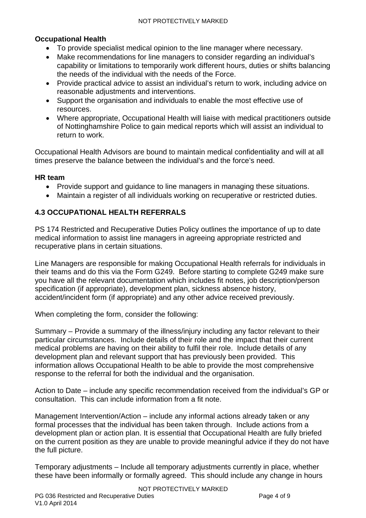# **Occupational Health**

- To provide specialist medical opinion to the line manager where necessary.
- Make recommendations for line managers to consider regarding an individual's capability or limitations to temporarily work different hours, duties or shifts balancing the needs of the individual with the needs of the Force.
- Provide practical advice to assist an individual's return to work, including advice on reasonable adjustments and interventions.
- Support the organisation and individuals to enable the most effective use of resources.
- Where appropriate, Occupational Health will liaise with medical practitioners outside of Nottinghamshire Police to gain medical reports which will assist an individual to return to work.

Occupational Health Advisors are bound to maintain medical confidentiality and will at all times preserve the balance between the individual's and the force's need.

## **HR team**

- Provide support and guidance to line managers in managing these situations.
- Maintain a register of all individuals working on recuperative or restricted duties.

# <span id="page-3-0"></span>**4.3 OCCUPATIONAL HEALTH REFERRALS**

PS 174 Restricted and Recuperative Duties Policy outlines the importance of up to date medical information to assist line managers in agreeing appropriate restricted and recuperative plans in certain situations.

Line Managers are responsible for making Occupational Health referrals for individuals in their teams and do this via the Form G249. Before starting to complete G249 make sure you have all the relevant documentation which includes fit notes, job description/person specification (if appropriate), development plan, sickness absence history, accident/incident form (if appropriate) and any other advice received previously.

When completing the form, consider the following:

Summary – Provide a summary of the illness/injury including any factor relevant to their particular circumstances. Include details of their role and the impact that their current medical problems are having on their ability to fulfil their role. Include details of any development plan and relevant support that has previously been provided. This information allows Occupational Health to be able to provide the most comprehensive response to the referral for both the individual and the organisation.

Action to Date – include any specific recommendation received from the individual's GP or consultation. This can include information from a fit note.

Management Intervention/Action – include any informal actions already taken or any formal processes that the individual has been taken through. Include actions from a development plan or action plan. It is essential that Occupational Health are fully briefed on the current position as they are unable to provide meaningful advice if they do not have the full picture.

Temporary adjustments – Include all temporary adjustments currently in place, whether these have been informally or formally agreed. This should include any change in hours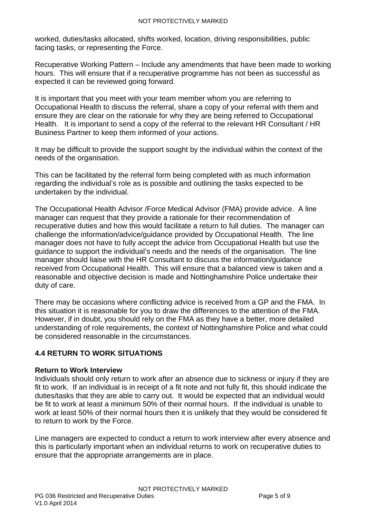worked, duties/tasks allocated, shifts worked, location, driving responsibilities, public facing tasks, or representing the Force.

Recuperative Working Pattern – Include any amendments that have been made to working hours. This will ensure that if a recuperative programme has not been as successful as expected it can be reviewed going forward.

It is important that you meet with your team member whom you are referring to Occupational Health to discuss the referral, share a copy of your referral with them and ensure they are clear on the rationale for why they are being referred to Occupational Health. It is important to send a copy of the referral to the relevant HR Consultant / HR Business Partner to keep them informed of your actions.

It may be difficult to provide the support sought by the individual within the context of the needs of the organisation.

This can be facilitated by the referral form being completed with as much information regarding the individual's role as is possible and outlining the tasks expected to be undertaken by the individual.

The Occupational Health Advisor /Force Medical Advisor (FMA) provide advice. A line manager can request that they provide a rationale for their recommendation of recuperative duties and how this would facilitate a return to full duties. The manager can challenge the information/advice/guidance provided by Occupational Health. The line manager does not have to fully accept the advice from Occupational Health but use the guidance to support the individual's needs and the needs of the organisation. The line manager should liaise with the HR Consultant to discuss the information/guidance received from Occupational Health. This will ensure that a balanced view is taken and a reasonable and objective decision is made and Nottinghamshire Police undertake their duty of care.

There may be occasions where conflicting advice is received from a GP and the FMA. In this situation it is reasonable for you to draw the differences to the attention of the FMA. However, if in doubt, you should rely on the FMA as they have a better, more detailed understanding of role requirements, the context of Nottinghamshire Police and what could be considered reasonable in the circumstances.

## <span id="page-4-0"></span>**4.4 RETURN TO WORK SITUATIONS**

#### **Return to Work Interview**

Individuals should only return to work after an absence due to sickness or injury if they are fit to work. If an individual is in receipt of a fit note and not fully fit, this should indicate the duties/tasks that they are able to carry out. It would be expected that an individual would be fit to work at least a minimum 50% of their normal hours. If the individual is unable to work at least 50% of their normal hours then it is unlikely that they would be considered fit to return to work by the Force.

Line managers are expected to conduct a return to work interview after every absence and this is particularly important when an individual returns to work on recuperative duties to ensure that the appropriate arrangements are in place.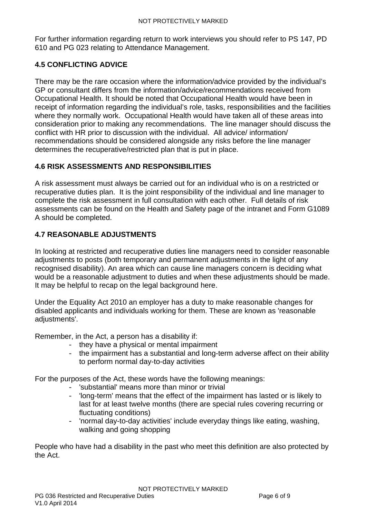For further information regarding return to work interviews you should refer to PS 147, PD 610 and PG 023 relating to Attendance Management.

# <span id="page-5-0"></span>**4.5 CONFLICTING ADVICE**

There may be the rare occasion where the information/advice provided by the individual's GP or consultant differs from the information/advice/recommendations received from Occupational Health. It should be noted that Occupational Health would have been in receipt of information regarding the individual's role, tasks, responsibilities and the facilities where they normally work. Occupational Health would have taken all of these areas into consideration prior to making any recommendations. The line manager should discuss the conflict with HR prior to discussion with the individual. All advice/ information/ recommendations should be considered alongside any risks before the line manager determines the recuperative/restricted plan that is put in place.

## <span id="page-5-1"></span>**4.6 RISK ASSESSMENTS AND RESPONSIBILITIES**

A risk assessment must always be carried out for an individual who is on a restricted or recuperative duties plan. It is the joint responsibility of the individual and line manager to complete the risk assessment in full consultation with each other. Full details of risk assessments can be found on the Health and Safety page of the intranet and Form G1089 A should be completed.

## <span id="page-5-2"></span>**4.7 REASONABLE ADJUSTMENTS**

In looking at restricted and recuperative duties line managers need to consider reasonable adjustments to posts (both temporary and permanent adjustments in the light of any recognised disability). An area which can cause line managers concern is deciding what would be a reasonable adjustment to duties and when these adjustments should be made. It may be helpful to recap on the legal background here.

Under the Equality Act 2010 an employer has a duty to make reasonable changes for disabled applicants and individuals working for them. These are known as 'reasonable adjustments'.

Remember, in the Act, a person has a disability if:

- they have a physical or mental impairment
- the impairment has a substantial and long-term adverse affect on their ability to perform normal day-to-day activities

For the purposes of the Act, these words have the following meanings:

- 'substantial' means more than minor or trivial
- 'long-term' means that the effect of the impairment has lasted or is likely to last for at least twelve months (there are special rules covering recurring or fluctuating conditions)
- 'normal day-to-day activities' include everyday things like eating, washing, walking and going shopping

People who have had a disability in the past who meet this definition are also protected by the Act.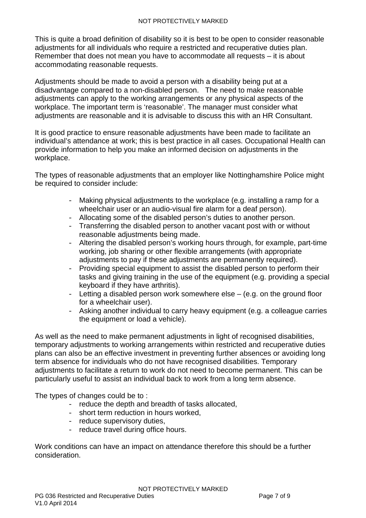This is quite a broad definition of disability so it is best to be open to consider reasonable adjustments for all individuals who require a restricted and recuperative duties plan. Remember that does not mean you have to accommodate all requests – it is about accommodating reasonable requests.

Adjustments should be made to avoid a person with a disability being put at a disadvantage compared to a non-disabled person. The need to make reasonable adjustments can apply to the working arrangements or any physical aspects of the workplace. The important term is 'reasonable'. The manager must consider what adjustments are reasonable and it is advisable to discuss this with an HR Consultant.

It is good practice to ensure reasonable adjustments have been made to facilitate an individual's attendance at work; this is best practice in all cases. Occupational Health can provide information to help you make an informed decision on adjustments in the workplace.

The types of reasonable adjustments that an employer like Nottinghamshire Police might be required to consider include:

- Making physical adjustments to the workplace (e.g. installing a ramp for a wheelchair user or an audio-visual fire alarm for a deaf person).
- Allocating some of the disabled person's duties to another person.
- Transferring the disabled person to another vacant post with or without reasonable adjustments being made.
- Altering the disabled person's working hours through, for example, part-time working, job sharing or other flexible arrangements (with appropriate adjustments to pay if these adjustments are permanently required).
- Providing special equipment to assist the disabled person to perform their tasks and giving training in the use of the equipment (e.g. providing a special keyboard if they have arthritis).
- Letting a disabled person work somewhere else (e.g. on the ground floor for a wheelchair user).
- Asking another individual to carry heavy equipment (e.g. a colleague carries the equipment or load a vehicle).

As well as the need to make permanent adjustments in light of recognised disabilities, temporary adjustments to working arrangements within restricted and recuperative duties plans can also be an effective investment in preventing further absences or avoiding long term absence for individuals who do not have recognised disabilities. Temporary adjustments to facilitate a return to work do not need to become permanent. This can be particularly useful to assist an individual back to work from a long term absence.

The types of changes could be to:

- reduce the depth and breadth of tasks allocated,
- short term reduction in hours worked,
- reduce supervisory duties,
- reduce travel during office hours.

Work conditions can have an impact on attendance therefore this should be a further consideration.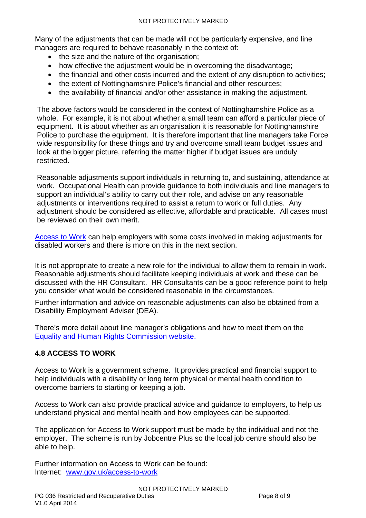Many of the adjustments that can be made will not be particularly expensive, and line managers are required to behave reasonably in the context of:

- the size and the nature of the organisation:
- how effective the adjustment would be in overcoming the disadvantage;
- the financial and other costs incurred and the extent of any disruption to activities;
- the extent of Nottinghamshire Police's financial and other resources;
- the availability of financial and/or other assistance in making the adjustment.

The above factors would be considered in the context of Nottinghamshire Police as a whole. For example, it is not about whether a small team can afford a particular piece of equipment. It is about whether as an organisation it is reasonable for Nottinghamshire Police to purchase the equipment. It is therefore important that line managers take Force wide responsibility for these things and try and overcome small team budget issues and look at the bigger picture, referring the matter higher if budget issues are unduly restricted.

Reasonable adjustments support individuals in returning to, and sustaining, attendance at work. Occupational Health can provide guidance to both individuals and line managers to support an individual's ability to carry out their role, and advise on any reasonable adjustments or interventions required to assist a return to work or full duties. Any adjustment should be considered as effective, affordable and practicable. All cases must be reviewed on their own merit.

[Access to Work](https://www.gov.uk/access-to-work) can help employers with some costs involved in making adjustments for disabled workers and there is more on this in the next section.

It is not appropriate to create a new role for the individual to allow them to remain in work. Reasonable adjustments should facilitate keeping individuals at work and these can be discussed with the HR Consultant. HR Consultants can be a good reference point to help you consider what would be considered reasonable in the circumstances.

Further information and advice on reasonable adjustments can also be obtained from a Disability Employment Adviser (DEA).

There's more detail about line manager's obligations and how to meet them on the [Equality and Human Rights Commission website.](http://www.equalityhumanrights.com/advice-and-guidance/guidance-for-employers/the-duty-to-make-reasonable-adjustments-for-disabled-people/)

# <span id="page-7-0"></span>**4.8 ACCESS TO WORK**

Access to Work is a government scheme. It provides practical and financial support to help individuals with a disability or long term physical or mental health condition to overcome barriers to starting or keeping a job.

Access to Work can also provide practical advice and guidance to employers, to help us understand physical and mental health and how employees can be supported.

The application for Access to Work support must be made by the individual and not the employer. The scheme is run by Jobcentre Plus so the local job centre should also be able to help.

Further information on Access to Work can be found: Internet: [www.gov.uk/access-to-work](http://www.gov.uk/access-to-work)